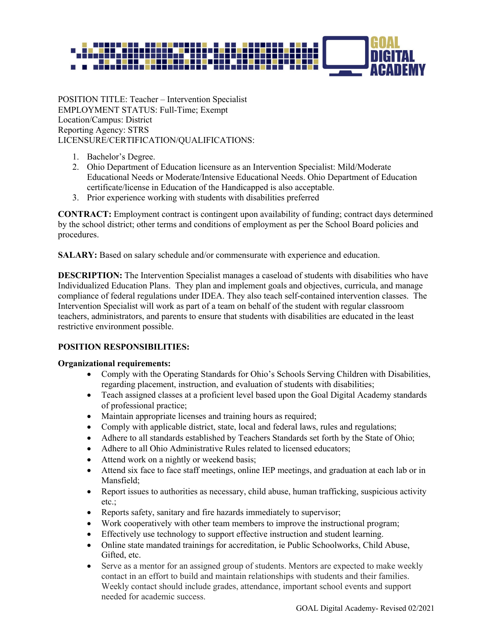

POSITION TITLE: Teacher – Intervention Specialist EMPLOYMENT STATUS: Full-Time; Exempt Location/Campus: District Reporting Agency: STRS LICENSURE/CERTIFICATION/QUALIFICATIONS:

- 1. Bachelor's Degree.
- 2. Ohio Department of Education licensure as an Intervention Specialist: Mild/Moderate Educational Needs or Moderate/Intensive Educational Needs. Ohio Department of Education certificate/license in Education of the Handicapped is also acceptable.
- 3. Prior experience working with students with disabilities preferred

**CONTRACT:** Employment contract is contingent upon availability of funding; contract days determined by the school district; other terms and conditions of employment as per the School Board policies and procedures.

**SALARY:** Based on salary schedule and/or commensurate with experience and education.

**DESCRIPTION:** The Intervention Specialist manages a caseload of students with disabilities who have Individualized Education Plans. They plan and implement goals and objectives, curricula, and manage compliance of federal regulations under IDEA. They also teach self-contained intervention classes. The Intervention Specialist will work as part of a team on behalf of the student with regular classroom teachers, administrators, and parents to ensure that students with disabilities are educated in the least restrictive environment possible.

# **POSITION RESPONSIBILITIES:**

## **Organizational requirements:**

- Comply with the Operating Standards for Ohio's Schools Serving Children with Disabilities, regarding placement, instruction, and evaluation of students with disabilities;
- Teach assigned classes at a proficient level based upon the Goal Digital Academy standards of professional practice;
- Maintain appropriate licenses and training hours as required;
- Comply with applicable district, state, local and federal laws, rules and regulations;
- Adhere to all standards established by Teachers Standards set forth by the State of Ohio;
- Adhere to all Ohio Administrative Rules related to licensed educators;
- Attend work on a nightly or weekend basis;
- Attend six face to face staff meetings, online IEP meetings, and graduation at each lab or in Mansfield;
- Report issues to authorities as necessary, child abuse, human trafficking, suspicious activity etc.;
- Reports safety, sanitary and fire hazards immediately to supervisor;
- Work cooperatively with other team members to improve the instructional program;
- Effectively use technology to support effective instruction and student learning.
- Online state mandated trainings for accreditation, ie Public Schoolworks, Child Abuse, Gifted, etc.
- Serve as a mentor for an assigned group of students. Mentors are expected to make weekly contact in an effort to build and maintain relationships with students and their families. Weekly contact should include grades, attendance, important school events and support needed for academic success.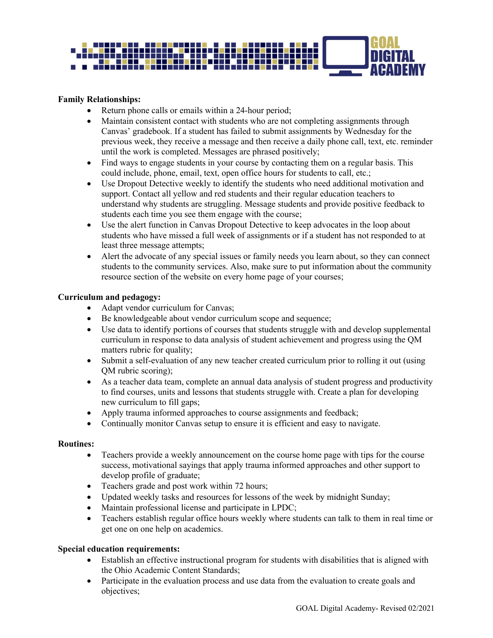

## **Family Relationships:**

- Return phone calls or emails within a 24-hour period;
- Maintain consistent contact with students who are not completing assignments through Canvas' gradebook. If a student has failed to submit assignments by Wednesday for the previous week, they receive a message and then receive a daily phone call, text, etc. reminder until the work is completed. Messages are phrased positively;
- Find ways to engage students in your course by contacting them on a regular basis. This could include, phone, email, text, open office hours for students to call, etc.;
- Use Dropout Detective weekly to identify the students who need additional motivation and support. Contact all yellow and red students and their regular education teachers to understand why students are struggling. Message students and provide positive feedback to students each time you see them engage with the course;
- Use the alert function in Canvas Dropout Detective to keep advocates in the loop about students who have missed a full week of assignments or if a student has not responded to at least three message attempts;
- Alert the advocate of any special issues or family needs you learn about, so they can connect students to the community services. Also, make sure to put information about the community resource section of the website on every home page of your courses;

## **Curriculum and pedagogy:**

- Adapt vendor curriculum for Canvas;
- Be knowledgeable about vendor curriculum scope and sequence;
- Use data to identify portions of courses that students struggle with and develop supplemental curriculum in response to data analysis of student achievement and progress using the QM matters rubric for quality;
- Submit a self-evaluation of any new teacher created curriculum prior to rolling it out (using QM rubric scoring);
- As a teacher data team, complete an annual data analysis of student progress and productivity to find courses, units and lessons that students struggle with. Create a plan for developing new curriculum to fill gaps;
- Apply trauma informed approaches to course assignments and feedback;
- Continually monitor Canvas setup to ensure it is efficient and easy to navigate.

## **Routines:**

- Teachers provide a weekly announcement on the course home page with tips for the course success, motivational sayings that apply trauma informed approaches and other support to develop profile of graduate;
- Teachers grade and post work within 72 hours;
- Updated weekly tasks and resources for lessons of the week by midnight Sunday;
- Maintain professional license and participate in LPDC;
- Teachers establish regular office hours weekly where students can talk to them in real time or get one on one help on academics.

## **Special education requirements:**

- Establish an effective instructional program for students with disabilities that is aligned with the Ohio Academic Content Standards;
- Participate in the evaluation process and use data from the evaluation to create goals and objectives;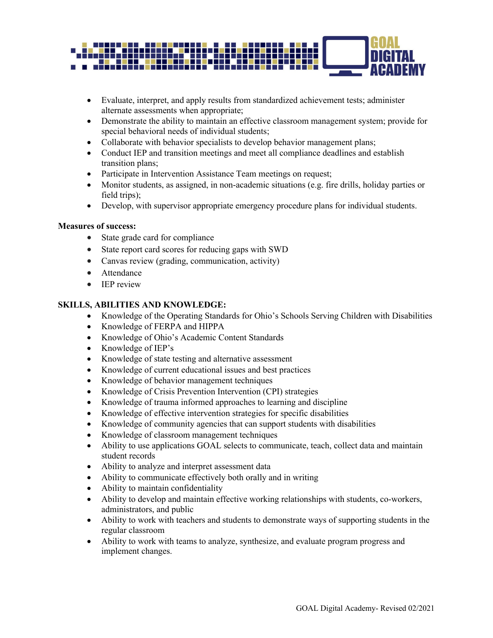

- Evaluate, interpret, and apply results from standardized achievement tests; administer alternate assessments when appropriate;
- Demonstrate the ability to maintain an effective classroom management system; provide for special behavioral needs of individual students;
- Collaborate with behavior specialists to develop behavior management plans;
- Conduct IEP and transition meetings and meet all compliance deadlines and establish transition plans;
- Participate in Intervention Assistance Team meetings on request;
- Monitor students, as assigned, in non-academic situations (e.g. fire drills, holiday parties or field trips);
- Develop, with supervisor appropriate emergency procedure plans for individual students.

## **Measures of success:**

- State grade card for compliance
- State report card scores for reducing gaps with SWD
- Canvas review (grading, communication, activity)
- Attendance
- **IEP** review

## **SKILLS, ABILITIES AND KNOWLEDGE:**

- Knowledge of the Operating Standards for Ohio's Schools Serving Children with Disabilities
- Knowledge of FERPA and HIPPA
- Knowledge of Ohio's Academic Content Standards
- Knowledge of IEP's
- Knowledge of state testing and alternative assessment
- Knowledge of current educational issues and best practices
- Knowledge of behavior management techniques
- Knowledge of Crisis Prevention Intervention (CPI) strategies
- Knowledge of trauma informed approaches to learning and discipline
- Knowledge of effective intervention strategies for specific disabilities
- Knowledge of community agencies that can support students with disabilities
- Knowledge of classroom management techniques
- Ability to use applications GOAL selects to communicate, teach, collect data and maintain student records
- Ability to analyze and interpret assessment data
- Ability to communicate effectively both orally and in writing
- Ability to maintain confidentiality
- Ability to develop and maintain effective working relationships with students, co-workers, administrators, and public
- Ability to work with teachers and students to demonstrate ways of supporting students in the regular classroom
- Ability to work with teams to analyze, synthesize, and evaluate program progress and implement changes.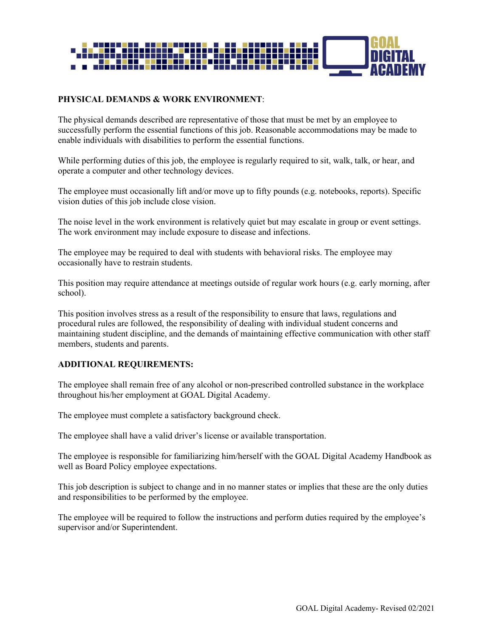

# **PHYSICAL DEMANDS & WORK ENVIRONMENT**:

The physical demands described are representative of those that must be met by an employee to successfully perform the essential functions of this job. Reasonable accommodations may be made to enable individuals with disabilities to perform the essential functions.

While performing duties of this job, the employee is regularly required to sit, walk, talk, or hear, and operate a computer and other technology devices.

The employee must occasionally lift and/or move up to fifty pounds (e.g. notebooks, reports). Specific vision duties of this job include close vision.

The noise level in the work environment is relatively quiet but may escalate in group or event settings. The work environment may include exposure to disease and infections.

The employee may be required to deal with students with behavioral risks. The employee may occasionally have to restrain students.

This position may require attendance at meetings outside of regular work hours (e.g. early morning, after school).

This position involves stress as a result of the responsibility to ensure that laws, regulations and procedural rules are followed, the responsibility of dealing with individual student concerns and maintaining student discipline, and the demands of maintaining effective communication with other staff members, students and parents.

## **ADDITIONAL REQUIREMENTS:**

The employee shall remain free of any alcohol or non-prescribed controlled substance in the workplace throughout his/her employment at GOAL Digital Academy.

The employee must complete a satisfactory background check.

The employee shall have a valid driver's license or available transportation.

The employee is responsible for familiarizing him/herself with the GOAL Digital Academy Handbook as well as Board Policy employee expectations.

This job description is subject to change and in no manner states or implies that these are the only duties and responsibilities to be performed by the employee.

The employee will be required to follow the instructions and perform duties required by the employee's supervisor and/or Superintendent.